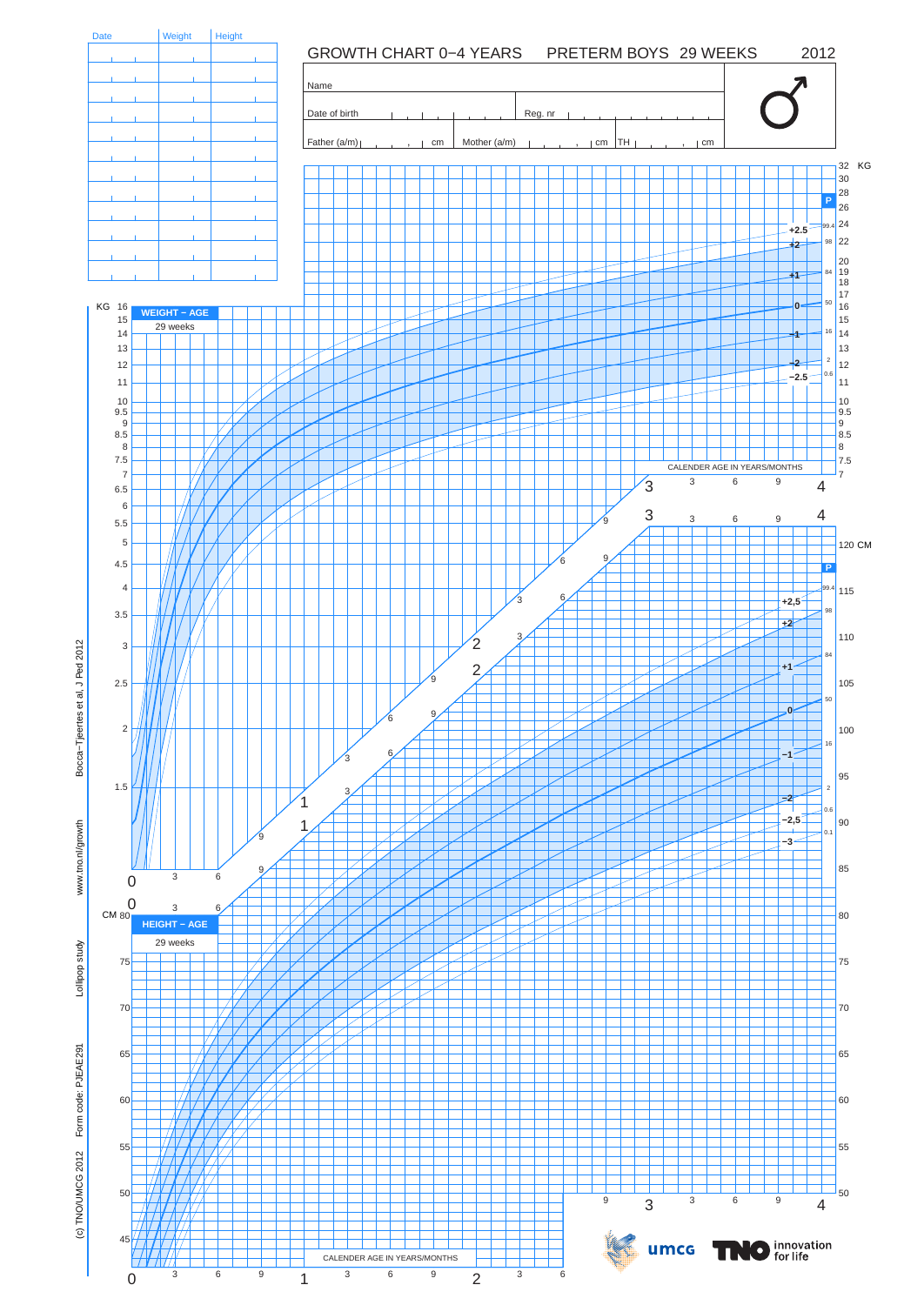